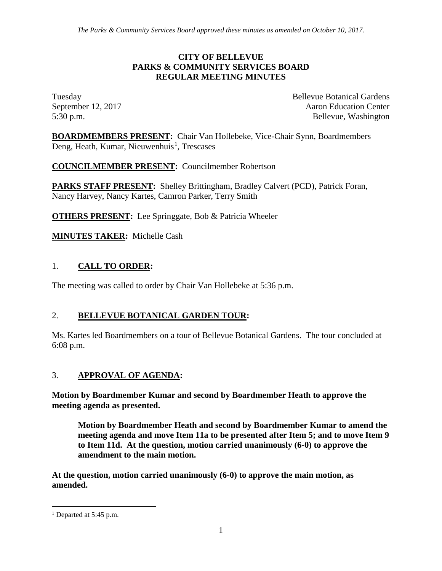#### **CITY OF BELLEVUE PARKS & COMMUNITY SERVICES BOARD REGULAR MEETING MINUTES**

Tuesday Bellevue Botanical Gardens September 12, 2017 **Aaron** Education Center 5:30 p.m. Bellevue, Washington

**BOARDMEMBERS PRESENT:** Chair Van Hollebeke, Vice-Chair Synn, Boardmembers Deng, Heath, Kumar, Nieuwenhuis<sup>[1](#page-0-0)</sup>, Trescases

**COUNCILMEMBER PRESENT:** Councilmember Robertson

**PARKS STAFF PRESENT:** Shelley Brittingham, Bradley Calvert (PCD), Patrick Foran, Nancy Harvey, Nancy Kartes, Camron Parker, Terry Smith

**OTHERS PRESENT:** Lee Springgate, Bob & Patricia Wheeler

**MINUTES TAKER:** Michelle Cash

## 1. **CALL TO ORDER:**

The meeting was called to order by Chair Van Hollebeke at 5:36 p.m.

## 2. **BELLEVUE BOTANICAL GARDEN TOUR:**

Ms. Kartes led Boardmembers on a tour of Bellevue Botanical Gardens. The tour concluded at 6:08 p.m.

### 3. **APPROVAL OF AGENDA:**

**Motion by Boardmember Kumar and second by Boardmember Heath to approve the meeting agenda as presented.** 

**Motion by Boardmember Heath and second by Boardmember Kumar to amend the meeting agenda and move Item 11a to be presented after Item 5; and to move Item 9 to Item 11d. At the question, motion carried unanimously (6-0) to approve the amendment to the main motion.**

**At the question, motion carried unanimously (6-0) to approve the main motion, as amended.**

<span id="page-0-0"></span><sup>&</sup>lt;sup>1</sup> Departed at 5:45 p.m.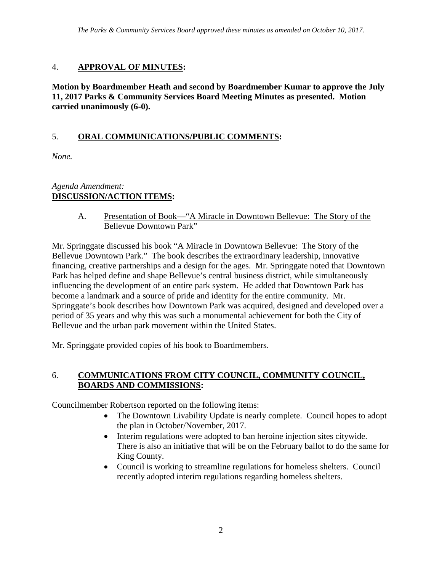## 4. **APPROVAL OF MINUTES:**

**Motion by Boardmember Heath and second by Boardmember Kumar to approve the July 11, 2017 Parks & Community Services Board Meeting Minutes as presented. Motion carried unanimously (6-0).**

# 5. **ORAL COMMUNICATIONS/PUBLIC COMMENTS:**

*None.*

## *Agenda Amendment:* **DISCUSSION/ACTION ITEMS:**

A. Presentation of Book—"A Miracle in Downtown Bellevue: The Story of the Bellevue Downtown Park"

Mr. Springgate discussed his book "A Miracle in Downtown Bellevue: The Story of the Bellevue Downtown Park." The book describes the extraordinary leadership, innovative financing, creative partnerships and a design for the ages. Mr. Springgate noted that Downtown Park has helped define and shape Bellevue's central business district, while simultaneously influencing the development of an entire park system. He added that Downtown Park has become a landmark and a source of pride and identity for the entire community. Mr. Springgate's book describes how Downtown Park was acquired, designed and developed over a period of 35 years and why this was such a monumental achievement for both the City of Bellevue and the urban park movement within the United States.

Mr. Springgate provided copies of his book to Boardmembers.

### 6. **COMMUNICATIONS FROM CITY COUNCIL, COMMUNITY COUNCIL, BOARDS AND COMMISSIONS:**

Councilmember Robertson reported on the following items:

- The Downtown Livability Update is nearly complete. Council hopes to adopt the plan in October/November, 2017.
- Interim regulations were adopted to ban heroine injection sites citywide. There is also an initiative that will be on the February ballot to do the same for King County.
- Council is working to streamline regulations for homeless shelters. Council recently adopted interim regulations regarding homeless shelters.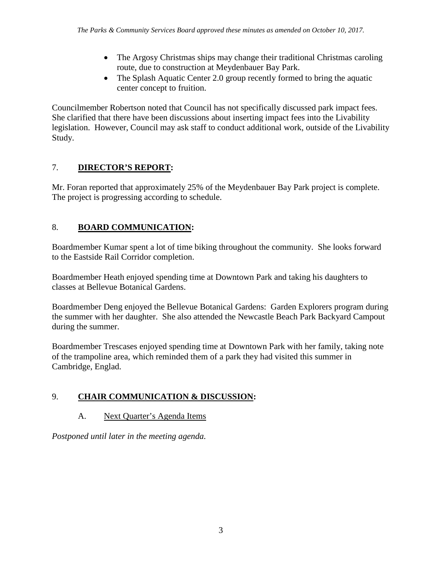- The Argosy Christmas ships may change their traditional Christmas caroling route, due to construction at Meydenbauer Bay Park.
- The Splash Aquatic Center 2.0 group recently formed to bring the aquatic center concept to fruition.

Councilmember Robertson noted that Council has not specifically discussed park impact fees. She clarified that there have been discussions about inserting impact fees into the Livability legislation. However, Council may ask staff to conduct additional work, outside of the Livability Study.

# 7. **DIRECTOR'S REPORT:**

Mr. Foran reported that approximately 25% of the Meydenbauer Bay Park project is complete. The project is progressing according to schedule.

# 8. **BOARD COMMUNICATION:**

Boardmember Kumar spent a lot of time biking throughout the community. She looks forward to the Eastside Rail Corridor completion.

Boardmember Heath enjoyed spending time at Downtown Park and taking his daughters to classes at Bellevue Botanical Gardens.

Boardmember Deng enjoyed the Bellevue Botanical Gardens: Garden Explorers program during the summer with her daughter. She also attended the Newcastle Beach Park Backyard Campout during the summer.

Boardmember Trescases enjoyed spending time at Downtown Park with her family, taking note of the trampoline area, which reminded them of a park they had visited this summer in Cambridge, Englad.

# 9. **CHAIR COMMUNICATION & DISCUSSION:**

# A. Next Quarter's Agenda Items

*Postponed until later in the meeting agenda.*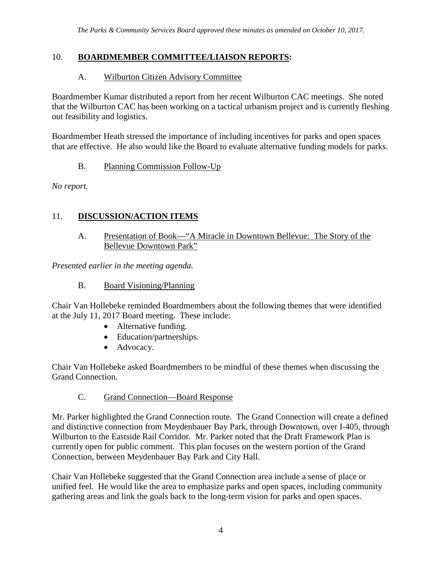### 10. **BOARDMEMBER COMMITTEE/LIAISON REPORTS:**

#### A. Wilburton Citizen Advisory Committee

Boardmember Kumar distributed a report from her recent Wilburton CAC meetings. She noted that the Wilburton CAC has been working on a tactical urbanism project and is currently fleshing out feasibility and logistics.

Boardmember Heath stressed the importance of including incentives for parks and open spaces that are effective. He also would like the Board to evaluate alternative funding models for parks.

#### B. Planning Commission Follow-Up

*No report.*

### 11. **DISCUSSION/ACTION ITEMS**

A. Presentation of Book—"A Miracle in Downtown Bellevue: The Story of the Bellevue Downtown Park"

*Presented earlier in the meeting agenda.*

#### B. Board Visioning/Planning

Chair Van Hollebeke reminded Boardmembers about the following themes that were identified at the July 11, 2017 Board meeting. These include:

- Alternative funding.
- Education/partnerships.
- Advocacy.

Chair Van Hollebeke asked Boardmembers to be mindful of these themes when discussing the Grand Connection.

### C. Grand Connection—Board Response

Mr. Parker highlighted the Grand Connection route. The Grand Connection will create a defined and distinctive connection from Meydenbauer Bay Park, through Downtown, over I-405, through Wilburton to the Eastside Rail Corridor. Mr. Parker noted that the Draft Framework Plan is currently open for public comment. This plan focuses on the western portion of the Grand Connection, between Meydenbauer Bay Park and City Hall.

Chair Van Hollebeke suggested that the Grand Connection area include a sense of place or unified feel. He would like the area to emphasize parks and open spaces, including community gathering areas and link the goals back to the long-term vision for parks and open spaces.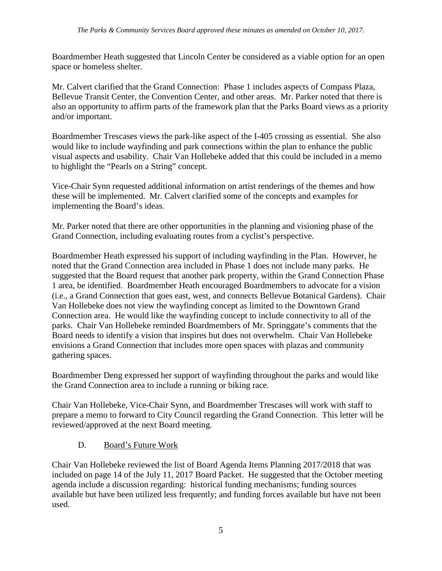Boardmember Heath suggested that Lincoln Center be considered as a viable option for an open space or homeless shelter.

Mr. Calvert clarified that the Grand Connection: Phase 1 includes aspects of Compass Plaza, Bellevue Transit Center, the Convention Center, and other areas. Mr. Parker noted that there is also an opportunity to affirm parts of the framework plan that the Parks Board views as a priority and/or important.

Boardmember Trescases views the park-like aspect of the I-405 crossing as essential. She also would like to include wayfinding and park connections within the plan to enhance the public visual aspects and usability. Chair Van Hollebeke added that this could be included in a memo to highlight the "Pearls on a String" concept.

Vice-Chair Synn requested additional information on artist renderings of the themes and how these will be implemented. Mr. Calvert clarified some of the concepts and examples for implementing the Board's ideas.

Mr. Parker noted that there are other opportunities in the planning and visioning phase of the Grand Connection, including evaluating routes from a cyclist's perspective.

Boardmember Heath expressed his support of including wayfinding in the Plan. However, he noted that the Grand Connection area included in Phase 1 does not include many parks. He suggested that the Board request that another park property, within the Grand Connection Phase 1 area, be identified. Boardmember Heath encouraged Boardmembers to advocate for a vision (i.e., a Grand Connection that goes east, west, and connects Bellevue Botanical Gardens). Chair Van Hollebeke does not view the wayfinding concept as limited to the Downtown Grand Connection area. He would like the wayfinding concept to include connectivity to all of the parks. Chair Van Hollebeke reminded Boardmembers of Mr. Springgate's comments that the Board needs to identify a vision that inspires but does not overwhelm. Chair Van Hollebeke envisions a Grand Connection that includes more open spaces with plazas and community gathering spaces.

Boardmember Deng expressed her support of wayfinding throughout the parks and would like the Grand Connection area to include a running or biking race.

Chair Van Hollebeke, Vice-Chair Synn, and Boardmember Trescases will work with staff to prepare a memo to forward to City Council regarding the Grand Connection. This letter will be reviewed/approved at the next Board meeting.

### D. Board's Future Work

Chair Van Hollebeke reviewed the list of Board Agenda Items Planning 2017/2018 that was included on page 14 of the July 11, 2017 Board Packet. He suggested that the October meeting agenda include a discussion regarding: historical funding mechanisms; funding sources available but have been utilized less frequently; and funding forces available but have not been used.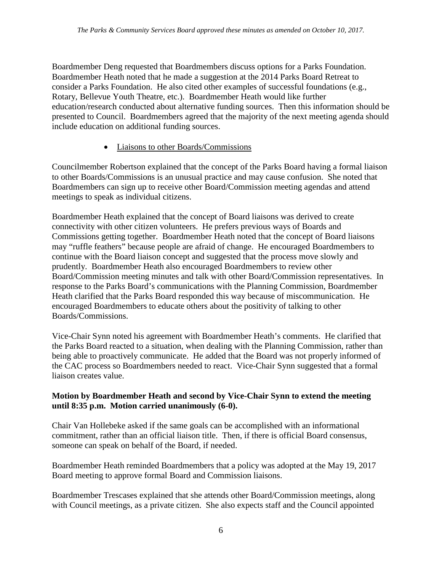Boardmember Deng requested that Boardmembers discuss options for a Parks Foundation. Boardmember Heath noted that he made a suggestion at the 2014 Parks Board Retreat to consider a Parks Foundation. He also cited other examples of successful foundations (e.g., Rotary, Bellevue Youth Theatre, etc.). Boardmember Heath would like further education/research conducted about alternative funding sources. Then this information should be presented to Council. Boardmembers agreed that the majority of the next meeting agenda should include education on additional funding sources.

## • Liaisons to other Boards/Commissions

Councilmember Robertson explained that the concept of the Parks Board having a formal liaison to other Boards/Commissions is an unusual practice and may cause confusion. She noted that Boardmembers can sign up to receive other Board/Commission meeting agendas and attend meetings to speak as individual citizens.

Boardmember Heath explained that the concept of Board liaisons was derived to create connectivity with other citizen volunteers. He prefers previous ways of Boards and Commissions getting together. Boardmember Heath noted that the concept of Board liaisons may "ruffle feathers" because people are afraid of change. He encouraged Boardmembers to continue with the Board liaison concept and suggested that the process move slowly and prudently. Boardmember Heath also encouraged Boardmembers to review other Board/Commission meeting minutes and talk with other Board/Commission representatives. In response to the Parks Board's communications with the Planning Commission, Boardmember Heath clarified that the Parks Board responded this way because of miscommunication. He encouraged Boardmembers to educate others about the positivity of talking to other Boards/Commissions.

Vice-Chair Synn noted his agreement with Boardmember Heath's comments. He clarified that the Parks Board reacted to a situation, when dealing with the Planning Commission, rather than being able to proactively communicate. He added that the Board was not properly informed of the CAC process so Boardmembers needed to react. Vice-Chair Synn suggested that a formal liaison creates value.

### **Motion by Boardmember Heath and second by Vice-Chair Synn to extend the meeting until 8:35 p.m. Motion carried unanimously (6-0).**

Chair Van Hollebeke asked if the same goals can be accomplished with an informational commitment, rather than an official liaison title. Then, if there is official Board consensus, someone can speak on behalf of the Board, if needed.

Boardmember Heath reminded Boardmembers that a policy was adopted at the May 19, 2017 Board meeting to approve formal Board and Commission liaisons.

Boardmember Trescases explained that she attends other Board/Commission meetings, along with Council meetings, as a private citizen. She also expects staff and the Council appointed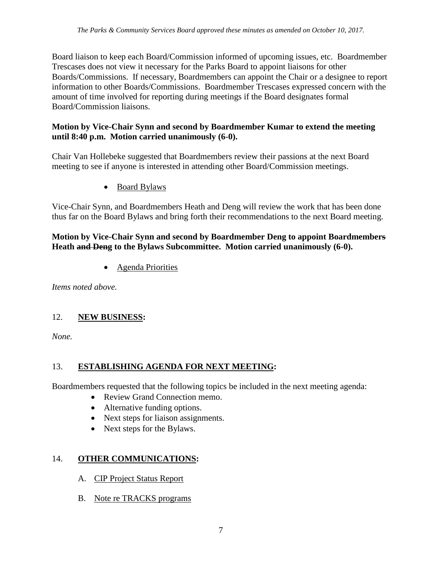Board liaison to keep each Board/Commission informed of upcoming issues, etc. Boardmember Trescases does not view it necessary for the Parks Board to appoint liaisons for other Boards/Commissions. If necessary, Boardmembers can appoint the Chair or a designee to report information to other Boards/Commissions. Boardmember Trescases expressed concern with the amount of time involved for reporting during meetings if the Board designates formal Board/Commission liaisons.

### **Motion by Vice-Chair Synn and second by Boardmember Kumar to extend the meeting until 8:40 p.m. Motion carried unanimously (6-0).**

Chair Van Hollebeke suggested that Boardmembers review their passions at the next Board meeting to see if anyone is interested in attending other Board/Commission meetings.

• Board Bylaws

Vice-Chair Synn, and Boardmembers Heath and Deng will review the work that has been done thus far on the Board Bylaws and bring forth their recommendations to the next Board meeting.

#### **Motion by Vice-Chair Synn and second by Boardmember Deng to appoint Boardmembers Heath and Deng to the Bylaws Subcommittee. Motion carried unanimously (6-0).**

• Agenda Priorities

*Items noted above.*

### 12. **NEW BUSINESS:**

*None.*

## 13. **ESTABLISHING AGENDA FOR NEXT MEETING:**

Boardmembers requested that the following topics be included in the next meeting agenda:

- Review Grand Connection memo.
- Alternative funding options.
- Next steps for liaison assignments.
- Next steps for the Bylaws.

### 14. **OTHER COMMUNICATIONS:**

- A. CIP Project Status Report
- B. Note re TRACKS programs